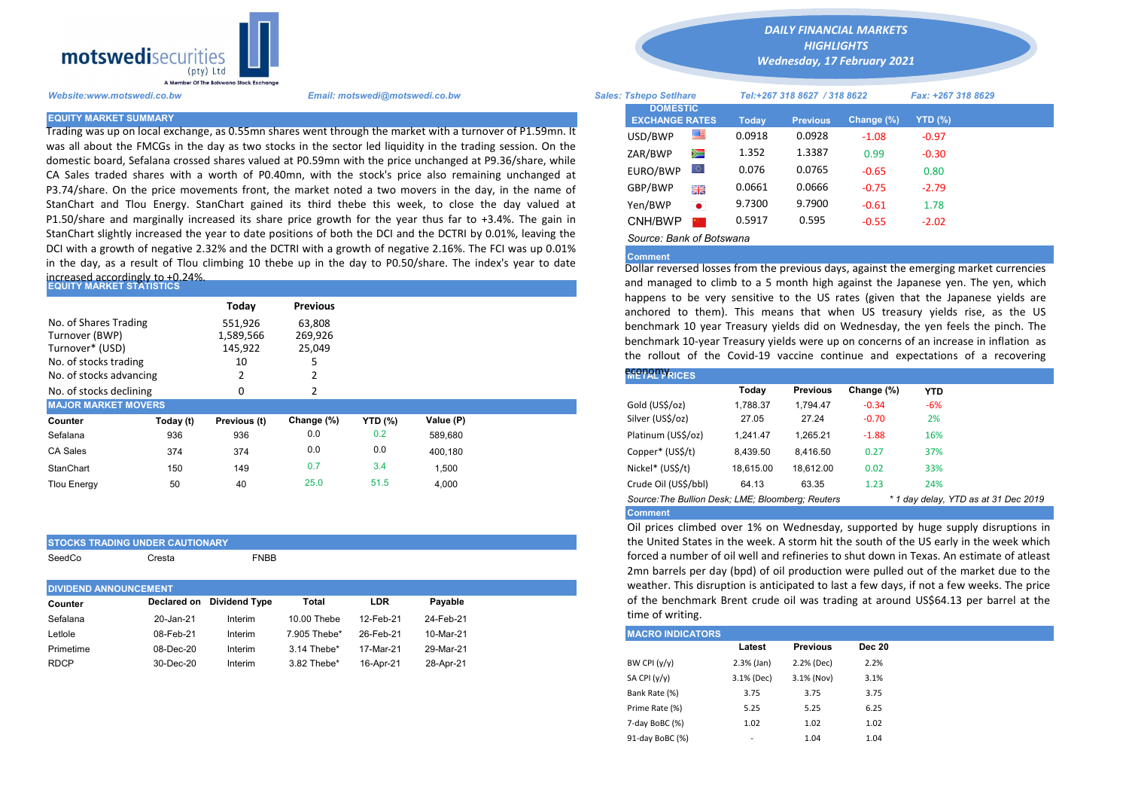

Trading was up on local exchange, as 0.55mn shares went through the market with a turnover of P1.59mn. It was all about the FMCGs in the day as two stocks in the sector led liquidity in the trading session. On the domestic board, Sefalana crossed shares valued at P0.59mn with the price unchanged at P9.36/share, while CA Sales traded shares with a worth of P0.40mn, with the stock's price also remaining unchanged at P3.74/share. On the price movements front, the market noted a two movers in the day, in the name of StanChart and Tlou Energy. StanChart gained its third thebe this week, to close the day valued at P1.50/share and marginally increased its share price growth for the year thus far to +3.4%. The gain in StanChart slightly increased the year to date positions of both the DCI and the DCTRI by 0.01%, leaving the DCI with a growth of negative 2.32% and the DCTRI with a growth of negative 2.16%. The FCI was up 0.01% in the day, as a result of Tlou climbing 10 thebe up in the day to P0.50/share. The index's year to date

## increased accordingly to +0.24%.<br>EQUITY MARKET STATISTICS

| No. of Shares Trading<br>Turnover (BWP)<br>Turnover* (USD)<br>No. of stocks trading |           | Today<br>551,926<br>1,589,566<br>145,922<br>10 | <b>Previous</b><br>63,808<br>269,926<br>25,049 |         |           | nappens to be very sensitive to the US rates (given that the Japa<br>anchored to them). This means that when US treasury yields<br>benchmark 10 year Treasury yields did on Wednesday, the yen feels<br>benchmark 10-year Treasury yields were up on concerns of an increas<br>the rollout of the Covid-19 vaccine continue and expectations of<br><b>ECOPAL PRICES</b> |           |                 |            |            |
|-------------------------------------------------------------------------------------|-----------|------------------------------------------------|------------------------------------------------|---------|-----------|-------------------------------------------------------------------------------------------------------------------------------------------------------------------------------------------------------------------------------------------------------------------------------------------------------------------------------------------------------------------------|-----------|-----------------|------------|------------|
| No. of stocks advancing                                                             |           |                                                |                                                |         |           |                                                                                                                                                                                                                                                                                                                                                                         |           |                 |            |            |
| No. of stocks declining                                                             |           |                                                |                                                |         |           |                                                                                                                                                                                                                                                                                                                                                                         | Today     | <b>Previous</b> | Change (%) | <b>YTD</b> |
| <b>MAJOR MARKET MOVERS</b>                                                          |           |                                                |                                                |         |           | Gold (US\$/oz)                                                                                                                                                                                                                                                                                                                                                          | 1.788.37  | 1.794.47        | $-0.34$    | $-6%$      |
| Counter                                                                             | Today (t) | Previous (t)                                   | Change (%)                                     | YTD (%) | Value (P) | Silver (US\$/oz)                                                                                                                                                                                                                                                                                                                                                        | 27.05     | 27.24           | $-0.70$    | 2%         |
| Sefalana                                                                            | 936       | 936                                            | 0.0                                            | 0.2     | 589.680   | Platinum (US\$/oz)                                                                                                                                                                                                                                                                                                                                                      | 1,241.47  | 1,265.21        | $-1.88$    | 16%        |
| CA Sales                                                                            | 374       | 374                                            | 0.0                                            | 0.0     | 400.180   | Copper* (US\$/t)                                                                                                                                                                                                                                                                                                                                                        | 8,439.50  | 8.416.50        | 0.27       | 37%        |
| StanChart                                                                           | 150       | 149                                            | 0.7                                            | 3.4     | 1,500     | Nickel* (US\$/t)                                                                                                                                                                                                                                                                                                                                                        | 18.615.00 | 18.612.00       | 0.02       | 33%        |
| <b>Tlou Energy</b>                                                                  | 50        | 40                                             | 25.0                                           | 51.5    | 4,000     | Crude Oil (US\$/bbl)                                                                                                                                                                                                                                                                                                                                                    | 64.13     | 63.35           | 1.23       | 24%        |
|                                                                                     |           |                                                |                                                |         |           |                                                                                                                                                                                                                                                                                                                                                                         |           |                 |            |            |

## STOCKS TRADING UNDER CAUTIONARY SeedCo Cresta **FNBB**

| <b>DIVIDEND ANNOUNCEMENT</b> |           |                           |              |            |           | ETTIL DULLED DEL GUY (DDU) OF ON DIOGREGION WELL DUI<br>weather. This disruption is anticipated to last a few d |        |              |
|------------------------------|-----------|---------------------------|--------------|------------|-----------|-----------------------------------------------------------------------------------------------------------------|--------|--------------|
| Counter                      |           | Declared on Dividend Type | Total        | <b>LDR</b> | Pavable   | of the benchmark Brent crude oil was trading at aro                                                             |        |              |
| Sefalana                     | 20-Jan-21 | Interim                   | 10.00 Thebe  | 12-Feb-21  | 24-Feb-21 | time of writing.                                                                                                |        |              |
| Letlole                      | 08-Feb-21 | Interim                   | 7.905 Thebe* | 26-Feb-21  | 10-Mar-21 | <b>MACRO INDICATORS</b>                                                                                         |        |              |
| Primetime                    | 08-Dec-20 | Interim                   | 3.14 Thebe*  | 17-Mar-21  | 29-Mar-21 |                                                                                                                 | Latest |              |
| <b>RDCP</b>                  | 30-Dec-20 | Interim                   | 3.82 Thebe*  | 16-Apr-21  | 28-Apr-21 | BW CPI $(y/y)$                                                                                                  |        | $2.3%$ (Jan) |
|                              |           |                           |              |            |           |                                                                                                                 |        |              |

*DAILY FINANCIAL MARKETS*

*HIGHLIGHTS Wednesday, 17 February 2021* 

| A Member Of the Borswand Stock Exchange |                                                                                                                                                                                                                         |                                          |           |                              |                 |                    |                |  |
|-----------------------------------------|-------------------------------------------------------------------------------------------------------------------------------------------------------------------------------------------------------------------------|------------------------------------------|-----------|------------------------------|-----------------|--------------------|----------------|--|
| Website:www.motswedi.co.bw              | <b>Sales: Tshepo Setlhare</b>                                                                                                                                                                                           |                                          |           | Tel:+267 318 8627 / 318 8622 |                 | Fax: +267 318 8629 |                |  |
| <b>EQUITY MARKET SUMMARY</b>            |                                                                                                                                                                                                                         | <b>DOMESTIC</b><br><b>EXCHANGE RATES</b> |           | <b>Today</b>                 | <b>Previous</b> | Change $(\%)$      | <b>YTD (%)</b> |  |
|                                         | Trading was up on local exchange, as 0.55mn shares went through the market with a turnover of P1.59mn. It                                                                                                               | USD/BWP                                  | 一         | 0.0918                       | 0.0928          | $-1.08$            | $-0.97$        |  |
|                                         | was all about the FMCGs in the day as two stocks in the sector led liquidity in the trading session. On the<br>domestic board, Sefalana crossed shares valued at P0.59mn with the price unchanged at P9.36/share, while | ZAR/BWP                                  | Ň         | 1.352                        | 1.3387          | 0.99               | $-0.30$        |  |
|                                         | CA Sales traded shares with a worth of P0.40mn, with the stock's price also remaining unchanged at                                                                                                                      | EURO/BWP                                 | LO I      | 0.076                        | 0.0765          | $-0.65$            | 0.80           |  |
|                                         | 23.74/share. On the price movements front, the market noted a two movers in the day, in the name of                                                                                                                     | GBP/BWP                                  | 開開        | 0.0661                       | 0.0666          | $-0.75$            | $-2.79$        |  |
|                                         | StanChart and Tlou Energy. StanChart gained its third thebe this week, to close the day valued at                                                                                                                       | Yen/BWP                                  | $\bullet$ | 9.7300                       | 9.7900          | $-0.61$            | 1.78           |  |
|                                         | 1.50/share and marginally increased its share price growth for the year thus far to +3.4%. The gain in                                                                                                                  | CNH/BWP                                  |           | 0.5917                       | 0.595           | $-0.55$            | $-2.02$        |  |
|                                         | StanChart slightly increased the year to date positions of both the DCI and the DCTRI by 0.01%, leaving the                                                                                                             | Source: Bank of Botswana                 |           |                              |                 |                    |                |  |

## Comment

Dollar reversed losses from the previous days, against the emerging market currencies and managed to climb to a 5 month high against the Japanese yen. The yen, which happens to be very sensitive to the US rates (given that the Japanese yields are anchored to them). This means that when US treasury yields rise, as the US benchmark 10 year Treasury yields did on Wednesday, the yen feels the pinch. The benchmark 10-year Treasury yields were up on concerns of an increase in inflation as the rollout of the Covid-19 vaccine continue and expectations of a recovering

| <b>REPALPRICES</b>                                |           |                 |            |            |                                      |
|---------------------------------------------------|-----------|-----------------|------------|------------|--------------------------------------|
|                                                   | Today     | <b>Previous</b> | Change (%) | <b>YTD</b> |                                      |
| Gold (US\$/oz)                                    | 1,788.37  | 1.794.47        | $-0.34$    | $-6%$      |                                      |
| Silver (US\$/oz)                                  | 27.05     | 27.24           | $-0.70$    | 2%         |                                      |
| Platinum (US\$/oz)                                | 1.241.47  | 1.265.21        | $-1.88$    | 16%        |                                      |
| Copper* (US\$/t)                                  | 8,439.50  | 8,416.50        | 0.27       | 37%        |                                      |
| Nickel* (US\$/t)                                  | 18,615.00 | 18.612.00       | 0.02       | 33%        |                                      |
| Crude Oil (US\$/bbl)                              | 64.13     | 63.35           | 1.23       | 24%        |                                      |
| Source: The Bullion Desk: LME: Bloomberg: Reuters |           |                 |            |            | * 1 day delay, YTD as at 31 Dec 2019 |
| <b>Comment</b>                                    |           |                 |            |            |                                      |

Oil prices climbed over 1% on Wednesday, supported by huge supply disruptions in the United States in the week. A storm hit the south of the US early in the week which forced a number of oil well and refineries to shut down in Texas. An estimate of atleast 2mn barrels per day (bpd) of oil production were pulled out of the market due to the weather. This disruption is anticipated to last a few days, if not a few weeks. The price of the benchmark Brent crude oil was trading at around US\$64.13 per barrel at the time of writing.

| <b>MACRO INDICATORS</b> |                          |                 |               |
|-------------------------|--------------------------|-----------------|---------------|
|                         | Latest                   | <b>Previous</b> | <b>Dec 20</b> |
| BW CPI $(y/y)$          | $2.3%$ (Jan)             | 2.2% (Dec)      | 2.2%          |
| SA CPI (y/y)            | 3.1% (Dec)               | 3.1% (Nov)      | 3.1%          |
| Bank Rate (%)           | 3.75                     | 3.75            | 3.75          |
| Prime Rate (%)          | 5.25                     | 5.25            | 6.25          |
| 7-day BoBC (%)          | 1.02                     | 1.02            | 1.02          |
| 91-day BoBC (%)         | $\overline{\phantom{a}}$ | 1.04            | 1.04          |